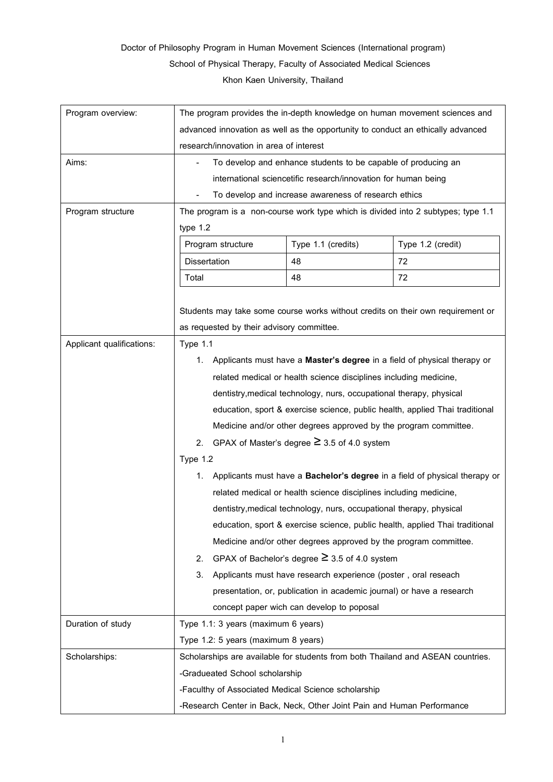## Doctor of Philosophy Program in Human Movement Sciences (International program) School of Physical Therapy, Faculty of Associated Medical Sciences

Khon Kaen University, Thailand

| Program overview:         | The program provides the in-depth knowledge on human movement sciences and                                                                                                                                                                                                                   |                                                                                 |                   |  |  |
|---------------------------|----------------------------------------------------------------------------------------------------------------------------------------------------------------------------------------------------------------------------------------------------------------------------------------------|---------------------------------------------------------------------------------|-------------------|--|--|
|                           | advanced innovation as well as the opportunity to conduct an ethically advanced                                                                                                                                                                                                              |                                                                                 |                   |  |  |
|                           | research/innovation in area of interest                                                                                                                                                                                                                                                      |                                                                                 |                   |  |  |
| Aims:                     | To develop and enhance students to be capable of producing an                                                                                                                                                                                                                                |                                                                                 |                   |  |  |
|                           | international sciencetific research/innovation for human being<br>To develop and increase awareness of research ethics                                                                                                                                                                       |                                                                                 |                   |  |  |
|                           |                                                                                                                                                                                                                                                                                              |                                                                                 |                   |  |  |
| Program structure         | The program is a non-course work type which is divided into 2 subtypes; type 1.1<br>type 1.2                                                                                                                                                                                                 |                                                                                 |                   |  |  |
|                           |                                                                                                                                                                                                                                                                                              |                                                                                 |                   |  |  |
|                           | Program structure                                                                                                                                                                                                                                                                            | Type 1.1 (credits)                                                              | Type 1.2 (credit) |  |  |
|                           | <b>Dissertation</b>                                                                                                                                                                                                                                                                          | 48                                                                              | 72                |  |  |
|                           | Total                                                                                                                                                                                                                                                                                        | 48                                                                              | 72                |  |  |
|                           |                                                                                                                                                                                                                                                                                              |                                                                                 |                   |  |  |
|                           | Students may take some course works without credits on their own requirement or                                                                                                                                                                                                              |                                                                                 |                   |  |  |
|                           | as requested by their advisory committee.                                                                                                                                                                                                                                                    |                                                                                 |                   |  |  |
| Applicant qualifications: | <b>Type 1.1</b><br>1. Applicants must have a Master's degree in a field of physical therapy or                                                                                                                                                                                               |                                                                                 |                   |  |  |
|                           |                                                                                                                                                                                                                                                                                              |                                                                                 |                   |  |  |
|                           | related medical or health science disciplines including medicine,<br>dentistry, medical technology, nurs, occupational therapy, physical<br>education, sport & exercise science, public health, applied Thai traditional<br>Medicine and/or other degrees approved by the program committee. |                                                                                 |                   |  |  |
|                           |                                                                                                                                                                                                                                                                                              |                                                                                 |                   |  |  |
|                           |                                                                                                                                                                                                                                                                                              |                                                                                 |                   |  |  |
|                           |                                                                                                                                                                                                                                                                                              |                                                                                 |                   |  |  |
|                           | 2. GPAX of Master's degree $\geq$ 3.5 of 4.0 system                                                                                                                                                                                                                                          |                                                                                 |                   |  |  |
|                           | Type 1.2                                                                                                                                                                                                                                                                                     |                                                                                 |                   |  |  |
|                           | Applicants must have a Bachelor's degree in a field of physical therapy or<br>1.                                                                                                                                                                                                             |                                                                                 |                   |  |  |
|                           | related medical or health science disciplines including medicine,<br>dentistry, medical technology, nurs, occupational therapy, physical<br>education, sport & exercise science, public health, applied Thai traditional                                                                     |                                                                                 |                   |  |  |
|                           |                                                                                                                                                                                                                                                                                              |                                                                                 |                   |  |  |
|                           |                                                                                                                                                                                                                                                                                              |                                                                                 |                   |  |  |
|                           | Medicine and/or other degrees approved by the program committee.                                                                                                                                                                                                                             |                                                                                 |                   |  |  |
|                           | GPAX of Bachelor's degree $\geq$ 3.5 of 4.0 system<br>2.                                                                                                                                                                                                                                     |                                                                                 |                   |  |  |
|                           | 3.<br>Applicants must have research experience (poster, oral reseach                                                                                                                                                                                                                         |                                                                                 |                   |  |  |
|                           | presentation, or, publication in academic journal) or have a research                                                                                                                                                                                                                        |                                                                                 |                   |  |  |
|                           | concept paper wich can develop to poposal                                                                                                                                                                                                                                                    |                                                                                 |                   |  |  |
| Duration of study         | Type 1.1: 3 years (maximum 6 years)<br>Type 1.2: 5 years (maximum 8 years)                                                                                                                                                                                                                   |                                                                                 |                   |  |  |
|                           |                                                                                                                                                                                                                                                                                              |                                                                                 |                   |  |  |
| Scholarships:             |                                                                                                                                                                                                                                                                                              | Scholarships are available for students from both Thailand and ASEAN countries. |                   |  |  |
|                           | -Gradueated School scholarship                                                                                                                                                                                                                                                               |                                                                                 |                   |  |  |
|                           |                                                                                                                                                                                                                                                                                              | -Faculthy of Associated Medical Science scholarship                             |                   |  |  |
|                           | -Research Center in Back, Neck, Other Joint Pain and Human Performance                                                                                                                                                                                                                       |                                                                                 |                   |  |  |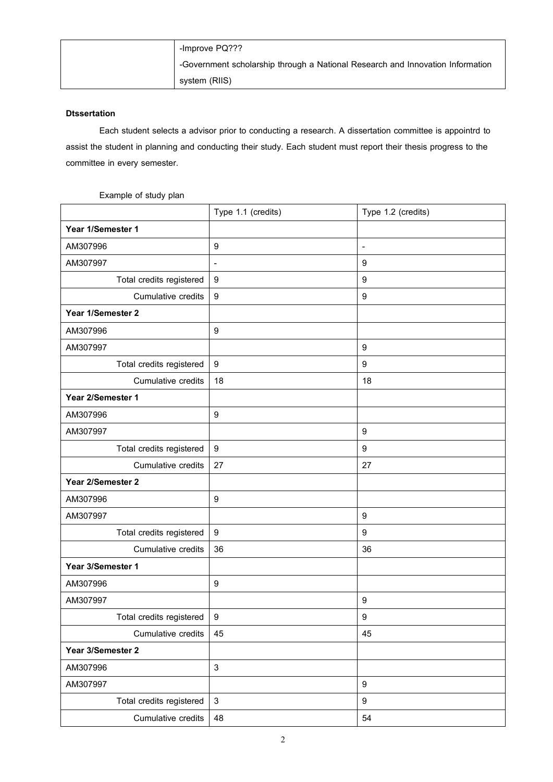| -Improve PQ???                                                                 |
|--------------------------------------------------------------------------------|
| -Government scholarship through a National Research and Innovation Information |
| system (RIIS)                                                                  |

## **Dtssertation**

Each student selects a advisor prior to conducting a research. A dissertation committee is appointrd to assist the student in planning and conducting their study. Each student must report their thesis progress to the committee in every semester.

## Example of study plan

|                          | Type 1.1 (credits)        | Type 1.2 (credits)       |
|--------------------------|---------------------------|--------------------------|
| Year 1/Semester 1        |                           |                          |
| AM307996                 | 9                         | $\overline{\phantom{a}}$ |
| AM307997                 | ٠                         | 9                        |
| Total credits registered | $\boldsymbol{9}$          | $\boldsymbol{9}$         |
| Cumulative credits       | $\boldsymbol{9}$          | $\boldsymbol{9}$         |
| Year 1/Semester 2        |                           |                          |
| AM307996                 | 9                         |                          |
| AM307997                 |                           | $\boldsymbol{9}$         |
| Total credits registered | $\boldsymbol{9}$          | $\boldsymbol{9}$         |
| Cumulative credits       | 18                        | 18                       |
| Year 2/Semester 1        |                           |                          |
| AM307996                 | 9                         |                          |
| AM307997                 |                           | 9                        |
| Total credits registered | 9                         | 9                        |
| Cumulative credits       | 27                        | 27                       |
| Year 2/Semester 2        |                           |                          |
| AM307996                 | 9                         |                          |
| AM307997                 |                           | $\boldsymbol{9}$         |
| Total credits registered | 9                         | 9                        |
| Cumulative credits       | 36                        | 36                       |
| Year 3/Semester 1        |                           |                          |
| AM307996                 | 9                         |                          |
| AM307997                 |                           | 9                        |
| Total credits registered | 9                         | $\boldsymbol{9}$         |
| Cumulative credits       | 45                        | 45                       |
| Year 3/Semester 2        |                           |                          |
| AM307996                 | $\ensuremath{\mathsf{3}}$ |                          |
| AM307997                 |                           | $\boldsymbol{9}$         |
| Total credits registered | $\ensuremath{\mathsf{3}}$ | $\boldsymbol{9}$         |
| Cumulative credits       | 48                        | 54                       |